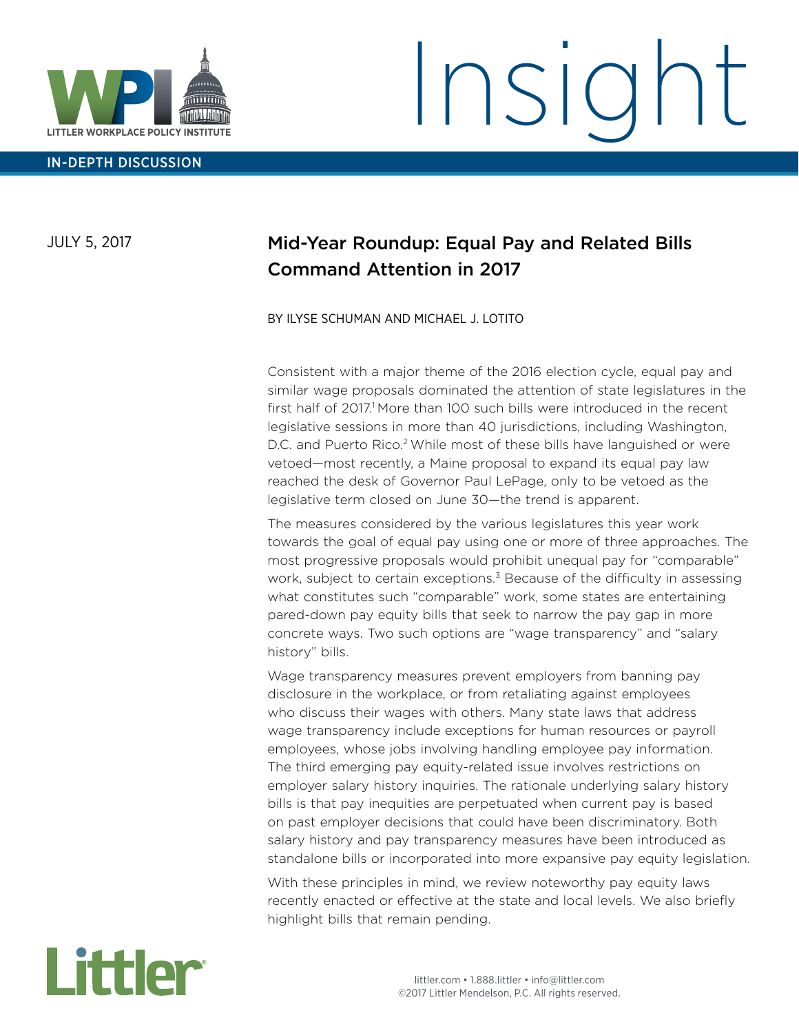

IN-DEPTH DISCUSSION

# Insigl

JULY 5, 2017

### Mid-Year Roundup: Equal Pay and Related Bills Command Attention in 2017

BY ILYSE SCHUMAN AND MICHAEL J. LOTITO

Consistent with a major theme of the 2016 election cycle, equal pay and similar wage proposals dominated the attention of state legislatures in the first half of 2017.<sup>1</sup> More than 100 such bills were introduced in the recent legislative sessions in more than 40 jurisdictions, including Washington, D.C. and Puerto Rico.<sup>2</sup> While most of these bills have languished or were vetoed—most recently, a Maine proposal to expand its equal pay law reached the desk of Governor Paul LePage, only to be vetoed as the legislative term closed on June 30—the trend is apparent.

The measures considered by the various legislatures this year work towards the goal of equal pay using one or more of three approaches. The most progressive proposals would prohibit unequal pay for "comparable" work, subject to certain exceptions.<sup>3</sup> Because of the difficulty in assessing what constitutes such "comparable" work, some states are entertaining pared-down pay equity bills that seek to narrow the pay gap in more concrete ways. Two such options are "wage transparency" and "salary history" bills.

Wage transparency measures prevent employers from banning pay disclosure in the workplace, or from retaliating against employees who discuss their wages with others. Many state laws that address wage transparency include exceptions for human resources or payroll employees, whose jobs involving handling employee pay information. The third emerging pay equity-related issue involves restrictions on employer salary history inquiries. The rationale underlying salary history bills is that pay inequities are perpetuated when current pay is based on past employer decisions that could have been discriminatory. Both salary history and pay transparency measures have been introduced as standalone bills or incorporated into more expansive pay equity legislation.

With these principles in mind, we review noteworthy pay equity laws recently enacted or effective at the state and local levels. We also briefly highlight bills that remain pending.

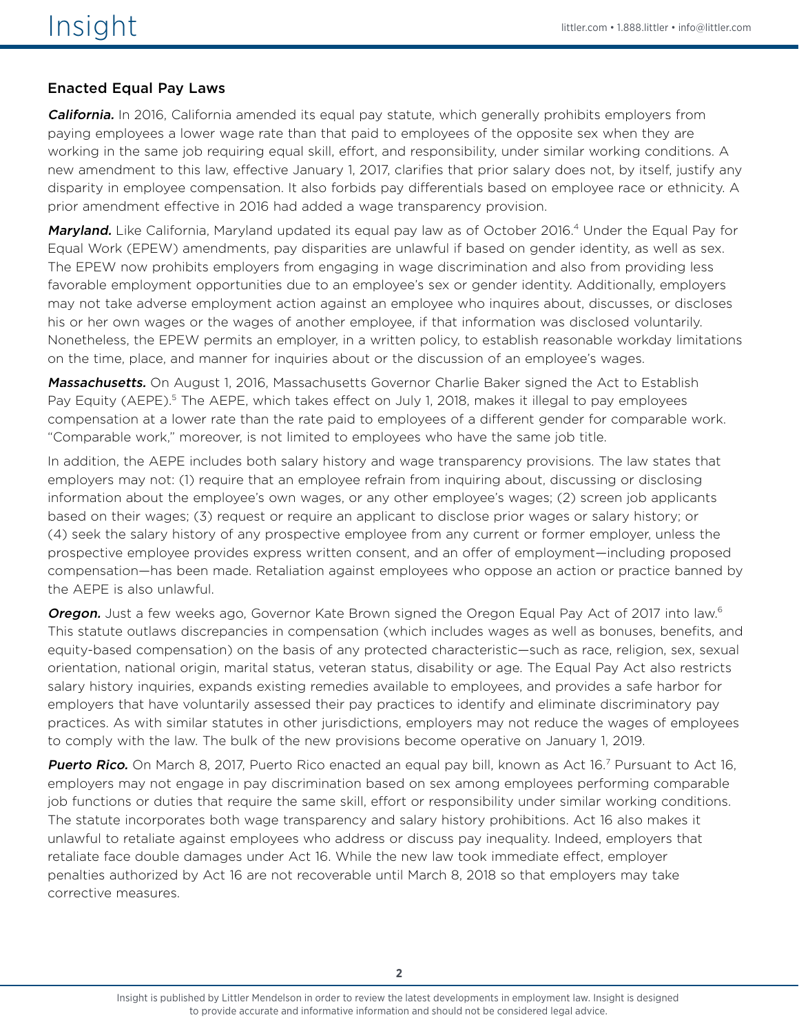#### Enacted Equal Pay Laws

**California.** In 2016, California amended its equal pay statute, which generally prohibits employers from paying employees a lower wage rate than that paid to employees of the opposite sex when they are working in the same job requiring equal skill, effort, and responsibility, under similar working conditions. A new amendment to this law, effective January 1, 2017, clarifies that prior salary does not, by itself, justify any disparity in employee compensation. It also forbids pay differentials based on employee race or ethnicity. A prior amendment effective in 2016 had added a wage transparency provision.

Maryland. Like California, Maryland updated its equal pay law as of October 2016.<sup>4</sup> Under the Equal Pay for Equal Work (EPEW) amendments, pay disparities are unlawful if based on gender identity, as well as sex. The EPEW now prohibits employers from engaging in wage discrimination and also from providing less favorable employment opportunities due to an employee's sex or gender identity. Additionally, employers may not take adverse employment action against an employee who inquires about, discusses, or discloses his or her own wages or the wages of another employee, if that information was disclosed voluntarily. Nonetheless, the EPEW permits an employer, in a written policy, to establish reasonable workday limitations on the time, place, and manner for inquiries about or the discussion of an employee's wages.

Massachusetts. On August 1, 2016, Massachusetts Governor Charlie Baker signed the Act to Establish Pay Equity (AEPE).<sup>5</sup> The AEPE, which takes effect on July 1, 2018, makes it illegal to pay employees compensation at a lower rate than the rate paid to employees of a different gender for comparable work. "Comparable work," moreover, is not limited to employees who have the same job title.

In addition, the AEPE includes both salary history and wage transparency provisions. The law states that employers may not: (1) require that an employee refrain from inquiring about, discussing or disclosing information about the employee's own wages, or any other employee's wages; (2) screen job applicants based on their wages; (3) request or require an applicant to disclose prior wages or salary history; or (4) seek the salary history of any prospective employee from any current or former employer, unless the prospective employee provides express written consent, and an offer of employment—including proposed compensation—has been made. Retaliation against employees who oppose an action or practice banned by the AEPE is also unlawful.

**Oregon.** Just a few weeks ago, Governor Kate Brown signed the Oregon Equal Pay Act of 2017 into law.<sup>6</sup> This statute outlaws discrepancies in compensation (which includes wages as well as bonuses, benefits, and equity-based compensation) on the basis of any protected characteristic—such as race, religion, sex, sexual orientation, national origin, marital status, veteran status, disability or age. The Equal Pay Act also restricts salary history inquiries, expands existing remedies available to employees, and provides a safe harbor for employers that have voluntarily assessed their pay practices to identify and eliminate discriminatory pay practices. As with similar statutes in other jurisdictions, employers may not reduce the wages of employees to comply with the law. The bulk of the new provisions become operative on January 1, 2019.

Puerto Rico. On March 8, 2017, Puerto Rico enacted an equal pay bill, known as Act 16.<sup>7</sup> Pursuant to Act 16, employers may not engage in pay discrimination based on sex among employees performing comparable job functions or duties that require the same skill, effort or responsibility under similar working conditions. The statute incorporates both wage transparency and salary history prohibitions. Act 16 also makes it unlawful to retaliate against employees who address or discuss pay inequality. Indeed, employers that retaliate face double damages under Act 16. While the new law took immediate effect, employer penalties authorized by Act 16 are not recoverable until March 8, 2018 so that employers may take corrective measures.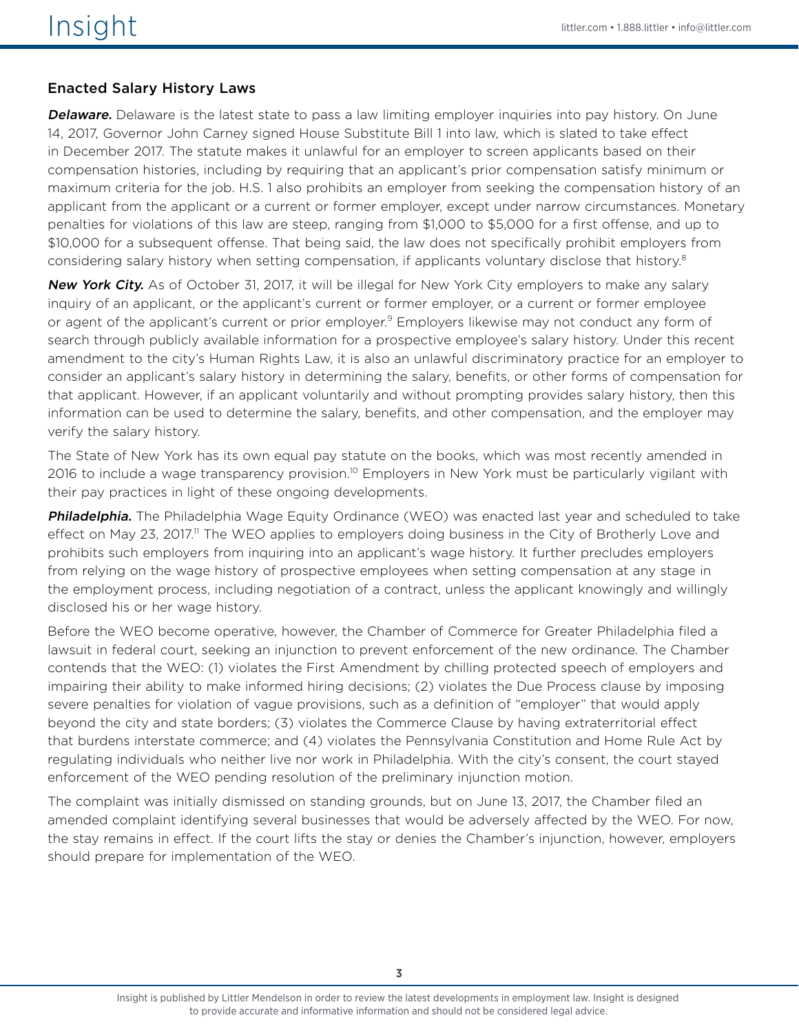#### Enacted Salary History Laws

**Delaware.** Delaware is the latest state to pass a law limiting employer inquiries into pay history. On June 14, 2017, Governor John Carney signed House Substitute Bill 1 into law, which is slated to take effect in December 2017. The statute makes it unlawful for an employer to screen applicants based on their compensation histories, including by requiring that an applicant's prior compensation satisfy minimum or maximum criteria for the job. H.S. 1 also prohibits an employer from seeking the compensation history of an applicant from the applicant or a current or former employer, except under narrow circumstances. Monetary penalties for violations of this law are steep, ranging from \$1,000 to \$5,000 for a first offense, and up to \$10,000 for a subsequent offense. That being said, the law does not specifically prohibit employers from considering salary history when setting compensation, if applicants voluntary disclose that history.<sup>8</sup>

New York City. As of October 31, 2017, it will be illegal for New York City employers to make any salary inquiry of an applicant, or the applicant's current or former employer, or a current or former employee or agent of the applicant's current or prior employer.<sup>9</sup> Employers likewise may not conduct any form of search through publicly available information for a prospective employee's salary history. Under this recent amendment to the city's Human Rights Law, it is also an unlawful discriminatory practice for an employer to consider an applicant's salary history in determining the salary, benefits, or other forms of compensation for that applicant. However, if an applicant voluntarily and without prompting provides salary history, then this information can be used to determine the salary, benefits, and other compensation, and the employer may verify the salary history.

The State of New York has its own equal pay statute on the books, which was most recently amended in 2016 to include a wage transparency provision.<sup>10</sup> Employers in New York must be particularly vigilant with their pay practices in light of these ongoing developments.

Philadelphia. The Philadelphia Wage Equity Ordinance (WEO) was enacted last year and scheduled to take effect on May 23, 2017.<sup>11</sup> The WEO applies to employers doing business in the City of Brotherly Love and prohibits such employers from inquiring into an applicant's wage history. It further precludes employers from relying on the wage history of prospective employees when setting compensation at any stage in the employment process, including negotiation of a contract, unless the applicant knowingly and willingly disclosed his or her wage history.

Before the WEO become operative, however, the Chamber of Commerce for Greater Philadelphia filed a lawsuit in federal court, seeking an injunction to prevent enforcement of the new ordinance. The Chamber contends that the WEO: (1) violates the First Amendment by chilling protected speech of employers and impairing their ability to make informed hiring decisions; (2) violates the Due Process clause by imposing severe penalties for violation of vague provisions, such as a definition of "employer" that would apply beyond the city and state borders; (3) violates the Commerce Clause by having extraterritorial effect that burdens interstate commerce; and (4) violates the Pennsylvania Constitution and Home Rule Act by regulating individuals who neither live nor work in Philadelphia. With the city's consent, the court stayed enforcement of the WEO pending resolution of the preliminary injunction motion.

The complaint was initially dismissed on standing grounds, but on June 13, 2017, the Chamber filed an amended complaint identifying several businesses that would be adversely affected by the WEO. For now, the stay remains in effect. If the court lifts the stay or denies the Chamber's injunction, however, employers should prepare for implementation of the WEO.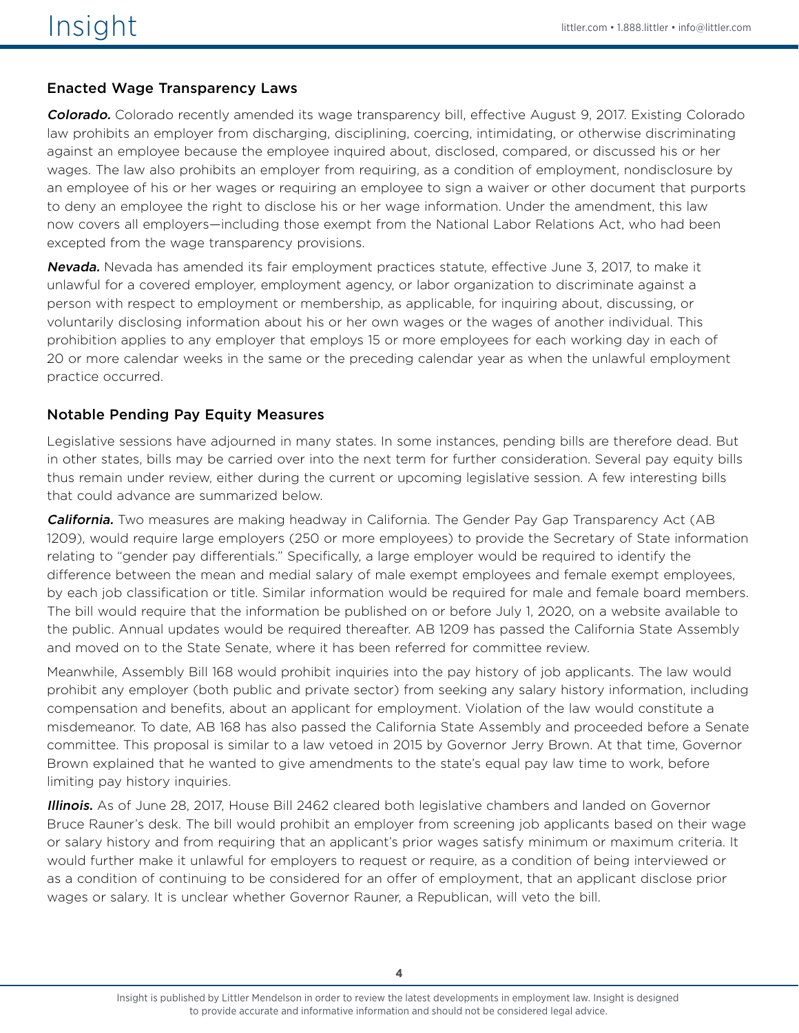#### Enacted Wage Transparency Laws

Colorado. Colorado recently amended its wage transparency bill, effective August 9, 2017. Existing Colorado law prohibits an employer from discharging, disciplining, coercing, intimidating, or otherwise discriminating against an employee because the employee inquired about, disclosed, compared, or discussed his or her wages. The law also prohibits an employer from requiring, as a condition of employment, nondisclosure by an employee of his or her wages or requiring an employee to sign a waiver or other document that purports to deny an employee the right to disclose his or her wage information. Under the amendment, this law now covers all employers—including those exempt from the National Labor Relations Act, who had been excepted from the wage transparency provisions.

Nevada. Nevada has amended its fair employment practices statute, effective June 3, 2017, to make it unlawful for a covered employer, employment agency, or labor organization to discriminate against a person with respect to employment or membership, as applicable, for inquiring about, discussing, or voluntarily disclosing information about his or her own wages or the wages of another individual. This prohibition applies to any employer that employs 15 or more employees for each working day in each of 20 or more calendar weeks in the same or the preceding calendar year as when the unlawful employment practice occurred.

#### Notable Pending Pay Equity Measures

Legislative sessions have adjourned in many states. In some instances, pending bills are therefore dead. But in other states, bills may be carried over into the next term for further consideration. Several pay equity bills thus remain under review, either during the current or upcoming legislative session. A few interesting bills that could advance are summarized below.

**California.** Two measures are making headway in California. The Gender Pay Gap Transparency Act (AB 1209), would require large employers (250 or more employees) to provide the Secretary of State information relating to "gender pay differentials." Specifically, a large employer would be required to identify the difference between the mean and medial salary of male exempt employees and female exempt employees, by each job classification or title. Similar information would be required for male and female board members. The bill would require that the information be published on or before July 1, 2020, on a website available to the public. Annual updates would be required thereafter. AB 1209 has passed the California State Assembly and moved on to the State Senate, where it has been referred for committee review.

Meanwhile, Assembly Bill 168 would prohibit inquiries into the pay history of job applicants. The law would prohibit any employer (both public and private sector) from seeking any salary history information, including compensation and benefits, about an applicant for employment. Violation of the law would constitute a misdemeanor. To date, AB 168 has also passed the California State Assembly and proceeded before a Senate committee. This proposal is similar to a law vetoed in 2015 by Governor Jerry Brown. At that time, Governor Brown explained that he wanted to give amendments to the state's equal pay law time to work, before limiting pay history inquiries.

Illinois. As of June 28, 2017, House Bill 2462 cleared both legislative chambers and landed on Governor Bruce Rauner's desk. The bill would prohibit an employer from screening job applicants based on their wage or salary history and from requiring that an applicant's prior wages satisfy minimum or maximum criteria. It would further make it unlawful for employers to request or require, as a condition of being interviewed or as a condition of continuing to be considered for an offer of employment, that an applicant disclose prior wages or salary. It is unclear whether Governor Rauner, a Republican, will veto the bill.